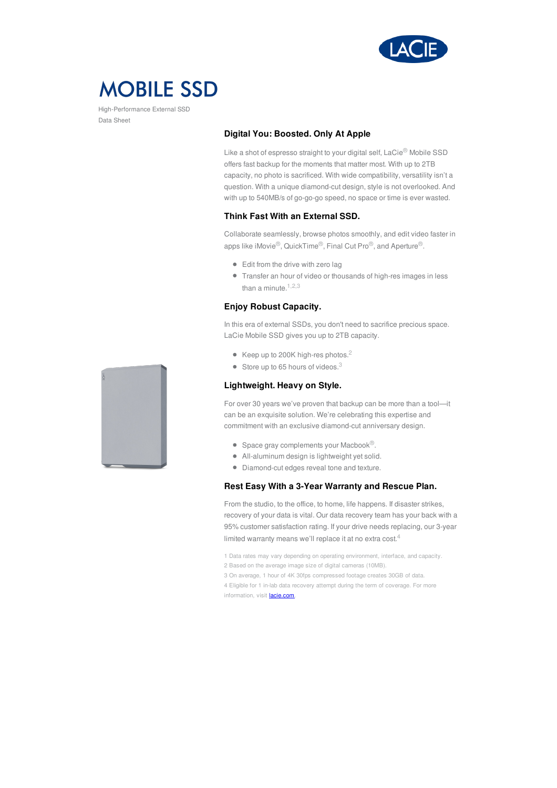

# **MOBILE SSD**

High-Performance External SSD Data Sheet

# **Digital You: Boosted. Only At Apple**

Like a shot of espresso straight to your digital self, LaCie® Mobile SSD offers fast backup for the moments that matter most. With up to 2TB capacity, no photo is sacrificed. With wide compatibility, versatility isn't a question. With a unique diamond-cut design, style is not overlooked. And with up to 540MB/s of go-go-go speed, no space or time is ever wasted.

# **Think Fast With an External SSD.**

Collaborate seamlessly, browse photos smoothly, and edit video faster in apps like iMovie®, QuickTime®, Final Cut Pro®, and Aperture®.

- Edit from the drive with zero lag
- Transfer an hour of video or thousands of high-res images in less than a minute. $1,2,3$

# **Enjoy Robust Capacity.**

In this era of external SSDs, you don't need to sacrifice precious space. LaCie Mobile SSD gives you up to 2TB capacity.

- $\bullet$  Keep up to 200K high-res photos.<sup>2</sup>
- $\bullet$  Store up to 65 hours of videos.<sup>3</sup>

# **Lightweight. Heavy on Style.**

For over 30 years we've proven that backup can be more than a tool—it can be an exquisite solution. We're celebrating this expertise and commitment with an exclusive diamond-cut anniversary design.

- $\bullet$  Space gray complements your Macbook<sup>®</sup>.
- All-aluminum design is lightweight yet solid.
- Diamond-cut edges reveal tone and texture.

# **Rest Easy With a 3-Year Warranty and Rescue Plan.**

From the studio, to the office, to home, life happens. If disaster strikes, recovery of your data is vital. Our data recovery team has your back with a 95% customer satisfaction rating. If your drive needs replacing, our 3-year limited warranty means we'll replace it at no extra cost. $4$ 

- 1 Data rates may vary depending on operating environment, interface, and capacity.
- 2 Based on the average image size of digital cameras (10MB).
- 3 On average, 1 hour of 4K 30fps compressed footage creates 30GB of data.
- 4 Eligible for 1 in-lab data recovery attempt during the term of coverage. For more information, visit [lacie.com](https://www.lacie.com/products/services/rescue-data-recovery-services).